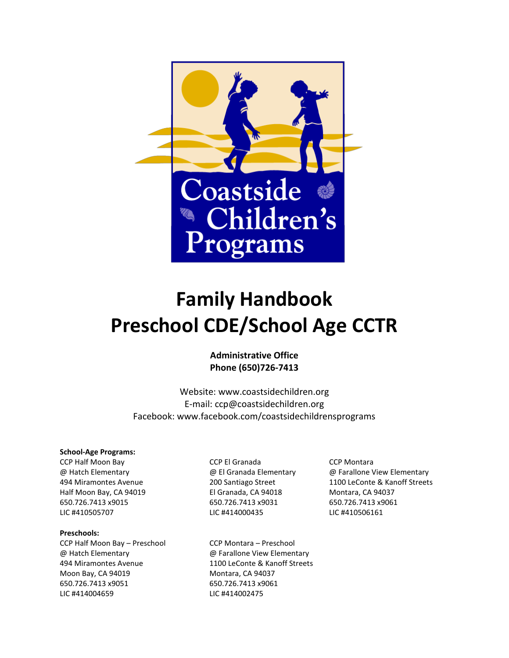

# **Family Handbook Preschool CDE/School Age CCTR**

**Administrative Office Phone (650)726-7413**

Website: [www.coastsidechildren.org](about:blank) E-mail: [ccp@coastsidechildren.org](about:blank) Facebook: www.facebook.com/coastsidechildrensprograms

#### **School-Age Programs:**

[CCP Half Moon Bay](about:blank) [CCP El Granada](about:blank) CCP Montara Half Moon Bay, CA 94019 El Granada, CA 94018 Montara, CA 94037 650.726.7413 x9015 650.726.7413 x9031 650.726.7413 x9061 LIC #410505707 LIC #414000435 LIC #410506161

#### **Preschools:**

CCP Half Moon Bay – Preschool CCP Montara – Preschool Moon Bay, CA 94019 Montara, CA 94037 650.726.7413 x9051 650.726.7413 x9061 LIC #414004659 LIC #414002475

@ Hatch Elementary @ Farallone View Elementary 494 Miramontes Avenue 1100 LeConte & Kanoff Streets

@ Hatch Elementary @ El Granada Elementary @ Farallone View Elementary 494 Miramontes Avenue 200 Santiago Street 1100 LeConte & Kanoff Streets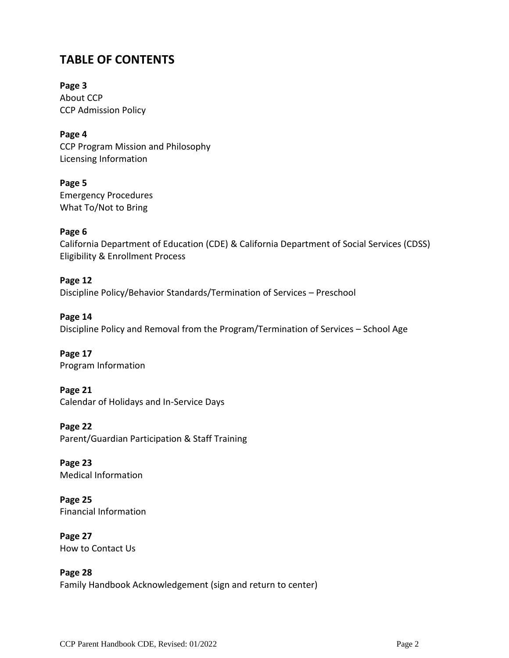# **TABLE OF CONTENTS**

**Page 3** About CCP CCP Admission Policy

**Page 4** CCP Program Mission and Philosophy Licensing Information

**Page 5** Emergency Procedures What To/Not to Bring

#### **Page 6**

California Department of Education (CDE) & California Department of Social Services (CDSS) Eligibility & Enrollment Process

**Page 12** Discipline Policy/Behavior Standards/Termination of Services – Preschool

**Page 14** Discipline Policy and Removal from the Program/Termination of Services – School Age

**Page 17** Program Information

**Page 21** Calendar of Holidays and In-Service Days

**Page 22** Parent/Guardian Participation & Staff Training

**Page 23** Medical Information

**Page 25** Financial Information

**Page 27** How to Contact Us

**Page 28** Family Handbook Acknowledgement (sign and return to center)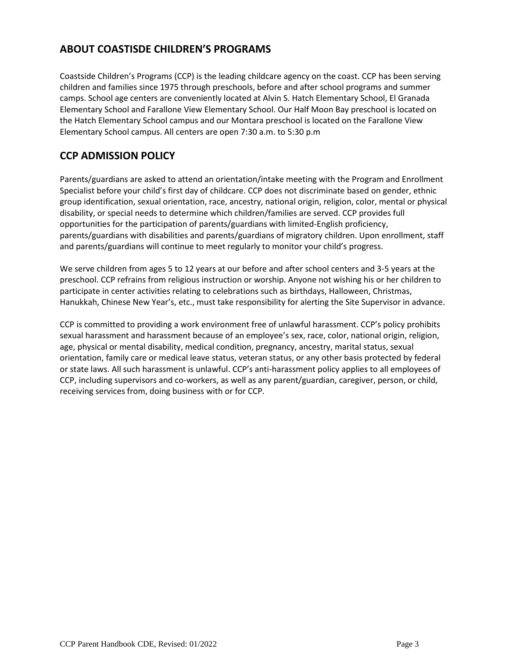# **ABOUT COASTISDE CHILDREN'S PROGRAMS**

Coastside Children's Programs (CCP) is the leading childcare agency on the coast. CCP has been serving children and families since 1975 through preschools, before and after school programs and summer camps. School age centers are conveniently located at Alvin S. Hatch Elementary School, El Granada Elementary School and Farallone View Elementary School. Our Half Moon Bay preschool is located on the Hatch Elementary School campus and our Montara preschool is located on the Farallone View Elementary School campus. All centers are open 7:30 a.m. to 5:30 p.m

## **CCP ADMISSION POLICY**

Parents/guardians are asked to attend an orientation/intake meeting with the Program and Enrollment Specialist before your child's first day of childcare. CCP does not discriminate based on gender, ethnic group identification, sexual orientation, race, ancestry, national origin, religion, color, mental or physical disability, or special needs to determine which children/families are served. CCP provides full opportunities for the participation of parents/guardians with limited-English proficiency, parents/guardians with disabilities and parents/guardians of migratory children. Upon enrollment, staff and parents/guardians will continue to meet regularly to monitor your child's progress.

We serve children from ages 5 to 12 years at our before and after school centers and 3-5 years at the preschool. CCP refrains from religious instruction or worship. Anyone not wishing his or her children to participate in center activities relating to celebrations such as birthdays, Halloween, Christmas, Hanukkah, Chinese New Year's, etc., must take responsibility for alerting the Site Supervisor in advance.

CCP is committed to providing a work environment free of unlawful harassment. CCP's policy prohibits sexual harassment and harassment because of an employee's sex, race, color, national origin, religion, age, physical or mental disability, medical condition, pregnancy, ancestry, marital status, sexual orientation, family care or medical leave status, veteran status, or any other basis protected by federal or state laws. All such harassment is unlawful. CCP's anti-harassment policy applies to all employees of CCP, including supervisors and co-workers, as well as any parent/guardian, caregiver, person, or child, receiving services from, doing business with or for CCP.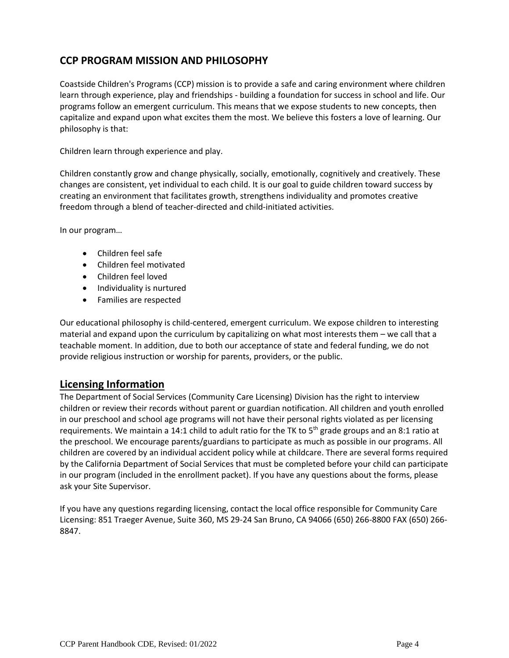# **CCP PROGRAM MISSION AND PHILOSOPHY**

Coastside Children's Programs (CCP) mission is to provide a safe and caring environment where children learn through experience, play and friendships - building a foundation for success in school and life. Our programs follow an emergent curriculum. This means that we expose students to new concepts, then capitalize and expand upon what excites them the most. We believe this fosters a love of learning. Our philosophy is that:

Children learn through experience and play.

Children constantly grow and change physically, socially, emotionally, cognitively and creatively. These changes are consistent, yet individual to each child. It is our goal to guide children toward success by creating an environment that facilitates growth, strengthens individuality and promotes creative freedom through a blend of teacher-directed and child-initiated activities.

In our program…

- Children feel safe
- Children feel motivated
- Children feel loved
- Individuality is nurtured
- Families are respected

Our educational philosophy is child-centered, emergent curriculum. We expose children to interesting material and expand upon the curriculum by capitalizing on what most interests them – we call that a teachable moment. In addition, due to both our acceptance of state and federal funding, we do not provide religious instruction or worship for parents, providers, or the public.

## **Licensing Information**

The Department of Social Services (Community Care Licensing) Division has the right to interview children or review their records without parent or guardian notification. All children and youth enrolled in our preschool and school age programs will not have their personal rights violated as per licensing requirements. We maintain a 14:1 child to adult ratio for the TK to 5<sup>th</sup> grade groups and an 8:1 ratio at the preschool. We encourage parents/guardians to participate as much as possible in our programs. All children are covered by an individual accident policy while at childcare. There are several forms required by the California Department of Social Services that must be completed before your child can participate in our program (included in the enrollment packet). If you have any questions about the forms, please ask your Site Supervisor.

If you have any questions regarding licensing, contact the local office responsible for Community Care Licensing: 851 Traeger Avenue, Suite 360, MS 29-24 San Bruno, CA 94066 (650) 266-8800 FAX (650) 266- 8847.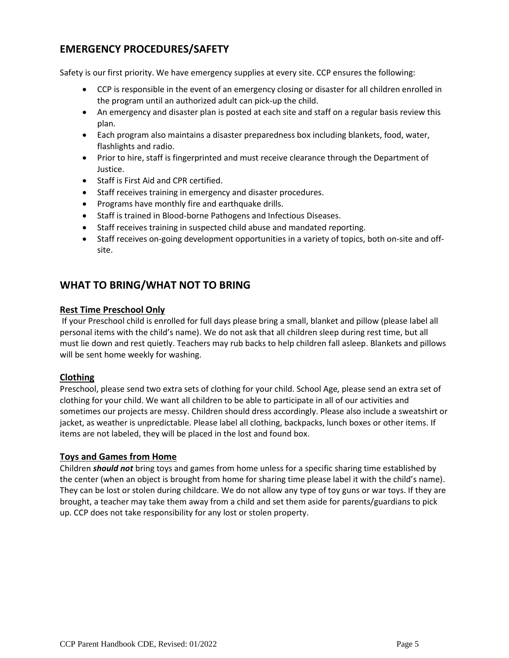## **EMERGENCY PROCEDURES/SAFETY**

Safety is our first priority. We have emergency supplies at every site. CCP ensures the following:

- CCP is responsible in the event of an emergency closing or disaster for all children enrolled in the program until an authorized adult can pick-up the child.
- An emergency and disaster plan is posted at each site and staff on a regular basis review this plan.
- Each program also maintains a disaster preparedness box including blankets, food, water, flashlights and radio.
- Prior to hire, staff is fingerprinted and must receive clearance through the Department of Justice.
- Staff is First Aid and CPR certified.
- Staff receives training in emergency and disaster procedures.
- Programs have monthly fire and earthquake drills.
- Staff is trained in Blood-borne Pathogens and Infectious Diseases.
- Staff receives training in suspected child abuse and mandated reporting.
- Staff receives on-going development opportunities in a variety of topics, both on-site and offsite.

## **WHAT TO BRING/WHAT NOT TO BRING**

#### **Rest Time Preschool Only**

If your Preschool child is enrolled for full days please bring a small, blanket and pillow (please label all personal items with the child's name). We do not ask that all children sleep during rest time, but all must lie down and rest quietly. Teachers may rub backs to help children fall asleep. Blankets and pillows will be sent home weekly for washing.

#### **Clothing**

Preschool, please send two extra sets of clothing for your child. School Age, please send an extra set of clothing for your child. We want all children to be able to participate in all of our activities and sometimes our projects are messy. Children should dress accordingly. Please also include a sweatshirt or jacket, as weather is unpredictable. Please label all clothing, backpacks, lunch boxes or other items. If items are not labeled, they will be placed in the lost and found box.

#### **Toys and Games from Home**

Children *should not* bring toys and games from home unless for a specific sharing time established by the center (when an object is brought from home for sharing time please label it with the child's name). They can be lost or stolen during childcare. We do not allow any type of toy guns or war toys. If they are brought, a teacher may take them away from a child and set them aside for parents/guardians to pick up. CCP does not take responsibility for any lost or stolen property.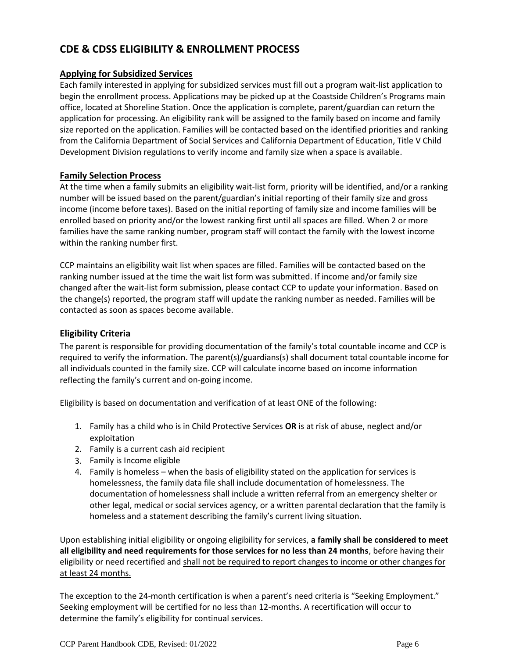# **CDE & CDSS ELIGIBILITY & ENROLLMENT PROCESS**

#### **Applying for Subsidized Services**

Each family interested in applying for subsidized services must fill out a program wait-list application to begin the enrollment process. Applications may be picked up at the Coastside Children's Programs main office, located at Shoreline Station. Once the application is complete, parent/guardian can return the application for processing. An eligibility rank will be assigned to the family based on income and family size reported on the application. Families will be contacted based on the identified priorities and ranking from the California Department of Social Services and California Department of Education, Title V Child Development Division regulations to verify income and family size when a space is available.

#### **Family Selection Process**

At the time when a family submits an eligibility wait-list form, priority will be identified, and/or a ranking number will be issued based on the parent/guardian's initial reporting of their family size and gross income (income before taxes). Based on the initial reporting of family size and income families will be enrolled based on priority and/or the lowest ranking first until all spaces are filled. When 2 or more families have the same ranking number, program staff will contact the family with the lowest income within the ranking number first.

CCP maintains an eligibility wait list when spaces are filled. Families will be contacted based on the ranking number issued at the time the wait list form was submitted. If income and/or family size changed after the wait-list form submission, please contact CCP to update your information. Based on the change(s) reported, the program staff will update the ranking number as needed. Families will be contacted as soon as spaces become available.

## **Eligibility Criteria**

The parent is responsible for providing documentation of the family's total countable income and CCP is required to verify the information. The parent(s)/guardians(s) shall document total countable income for all individuals counted in the family size. CCP will calculate income based on income information reflecting the family's current and on-going income.

Eligibility is based on documentation and verification of at least ONE of the following:

- 1. Family has a child who is in Child Protective Services **OR** is at risk of abuse, neglect and/or exploitation
- 2. Family is a current cash aid recipient
- 3. Family is Income eligible
- 4. Family is homeless when the basis of eligibility stated on the application for services is homelessness, the family data file shall include documentation of homelessness. The documentation of homelessness shall include a written referral from an emergency shelter or other legal, medical or social services agency, or a written parental declaration that the family is homeless and a statement describing the family's current living situation.

Upon establishing initial eligibility or ongoing eligibility for services, **a family shall be considered to meet all eligibility and need requirements for those services for no less than 24 months**, before having their eligibility or need recertified and shall not be required to report changes to income or other changes for at least 24 months.

The exception to the 24-month certification is when a parent's need criteria is "Seeking Employment." Seeking employment will be certified for no less than 12-months. A recertification will occur to determine the family's eligibility for continual services.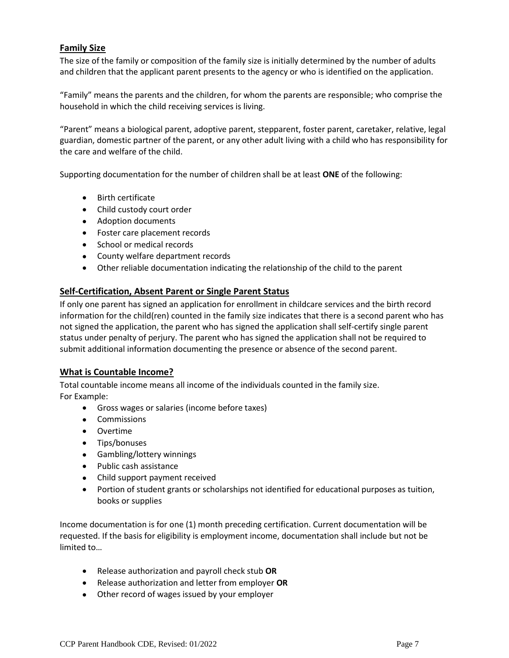#### **Family Size**

The size of the family or composition of the family size is initially determined by the number of adults and children that the applicant parent presents to the agency or who is identified on the application.

"Family" means the parents and the children, for whom the parents are responsible; who comprise the household in which the child receiving services is living.

"Parent" means a biological parent, adoptive parent, stepparent, foster parent, caretaker, relative, legal guardian, domestic partner of the parent, or any other adult living with a child who has responsibility for the care and welfare of the child.

Supporting documentation for the number of children shall be at least **ONE** of the following:

- Birth certificate
- Child custody court order
- Adoption documents
- Foster care placement records
- School or medical records
- County welfare department records
- Other reliable documentation indicating the relationship of the child to the parent

#### **Self-Certification, Absent Parent or Single Parent Status**

If only one parent has signed an application for enrollment in childcare services and the birth record information for the child(ren) counted in the family size indicates that there is a second parent who has not signed the application, the parent who has signed the application shall self-certify single parent status under penalty of perjury. The parent who has signed the application shall not be required to submit additional information documenting the presence or absence of the second parent.

#### **What is Countable Income?**

Total countable income means all income of the individuals counted in the family size. For Example:

- Gross wages or salaries (income before taxes)
- Commissions
- Overtime
- Tips/bonuses
- Gambling/lottery winnings
- Public cash assistance
- Child support payment received
- Portion of student grants or scholarships not identified for educational purposes as tuition, books or supplies

Income documentation is for one (1) month preceding certification. Current documentation will be requested. If the basis for eligibility is employment income, documentation shall include but not be limited to…

- Release authorization and payroll check stub **OR**
- Release authorization and letter from employer **OR**
- Other record of wages issued by your employer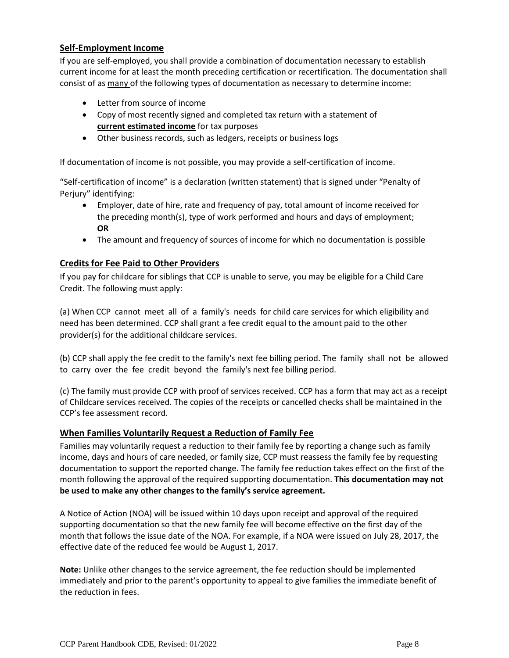#### **Self-Employment Income**

If you are self-employed, you shall provide a combination of documentation necessary to establish current income for at least the month preceding certification or recertification. The documentation shall consist of as many of the following types of documentation as necessary to determine income:

- Letter from source of income
- Copy of most recently signed and completed tax return with a statement of **current estimated income** for tax purposes
- Other business records, such as ledgers, receipts or business logs

If documentation of income is not possible, you may provide a self-certification of income.

"Self-certification of income" is a declaration (written statement) that is signed under "Penalty of Perjury" identifying:

- Employer, date of hire, rate and frequency of pay, total amount of income received for the preceding month(s), type of work performed and hours and days of employment; **OR**
- The amount and frequency of sources of income for which no documentation is possible

#### **Credits for Fee Paid to Other Providers**

If you pay for childcare for siblings that CCP is unable to serve, you may be eligible for a Child Care Credit. The following must apply:

(a) When CCP cannot meet all of a family's needs for child care services for which eligibility and need has been determined. CCP shall grant a fee credit equal to the amount paid to the other provider(s) for the additional childcare services.

(b) CCP shall apply the fee credit to the family's next fee billing period. The family shall not be allowed to carry over the fee credit beyond the family's next fee billing period.

(c) The family must provide CCP with proof of services received. CCP has a form that may act as a receipt of Childcare services received. The copies of the receipts or cancelled checks shall be maintained in the CCP's fee assessment record.

#### **When Families Voluntarily Request a Reduction of Family Fee**

Families may voluntarily request a reduction to their family fee by reporting a change such as family income, days and hours of care needed, or family size, CCP must reassess the family fee by requesting documentation to support the reported change. The family fee reduction takes effect on the first of the month following the approval of the required supporting documentation. **This documentation may not be used to make any other changes to the family's service agreement.**

A Notice of Action (NOA) will be issued within 10 days upon receipt and approval of the required supporting documentation so that the new family fee will become effective on the first day of the month that follows the issue date of the NOA. For example, if a NOA were issued on July 28, 2017, the effective date of the reduced fee would be August 1, 2017.

**Note:** Unlike other changes to the service agreement, the fee reduction should be implemented immediately and prior to the parent's opportunity to appeal to give families the immediate benefit of the reduction in fees.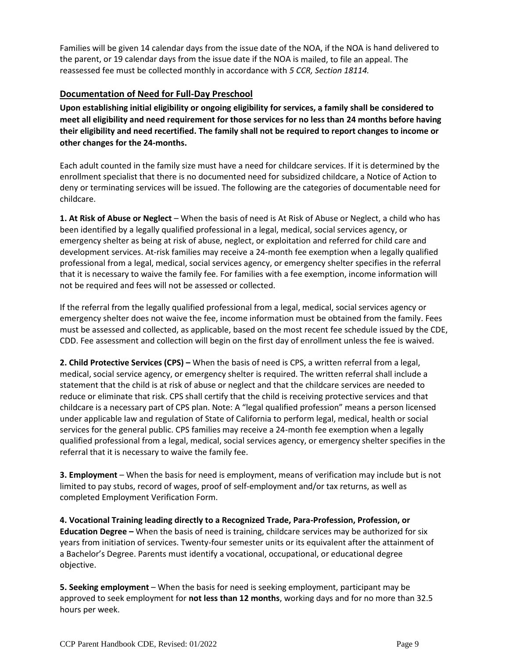Families will be given 14 calendar days from the issue date of the NOA, if the NOA is hand delivered to the parent, or 19 calendar days from the issue date if the NOA is mailed, to file an appeal. The reassessed fee must be collected monthly in accordance with *5 CCR, Section 18114.*

#### **Documentation of Need for Full-Day Preschool**

**Upon establishing initial eligibility or ongoing eligibility for services, a family shall be considered to meet all eligibility and need requirement for those services for no less than 24 months before having their eligibility and need recertified. The family shall not be required to report changes to income or other changes for the 24-months.** 

Each adult counted in the family size must have a need for childcare services. If it is determined by the enrollment specialist that there is no documented need for subsidized childcare, a Notice of Action to deny or terminating services will be issued. The following are the categories of documentable need for childcare.

**1. At Risk of Abuse or Neglect** – When the basis of need is At Risk of Abuse or Neglect, a child who has been identified by a legally qualified professional in a legal, medical, social services agency, or emergency shelter as being at risk of abuse, neglect, or exploitation and referred for child care and development services. At-risk families may receive a 24-month fee exemption when a legally qualified professional from a legal, medical, social services agency, or emergency shelter specifies in the referral that it is necessary to waive the family fee. For families with a fee exemption, income information will not be required and fees will not be assessed or collected.

If the referral from the legally qualified professional from a legal, medical, social services agency or emergency shelter does not waive the fee, income information must be obtained from the family. Fees must be assessed and collected, as applicable, based on the most recent fee schedule issued by the CDE, CDD. Fee assessment and collection will begin on the first day of enrollment unless the fee is waived.

**2. Child Protective Services (CPS) –** When the basis of need is CPS, a written referral from a legal, medical, social service agency, or emergency shelter is required. The written referral shall include a statement that the child is at risk of abuse or neglect and that the childcare services are needed to reduce or eliminate that risk. CPS shall certify that the child is receiving protective services and that childcare is a necessary part of CPS plan. Note: A "legal qualified profession" means a person licensed under applicable law and regulation of State of California to perform legal, medical, health or social services for the general public. CPS families may receive a 24-month fee exemption when a legally qualified professional from a legal, medical, social services agency, or emergency shelter specifies in the referral that it is necessary to waive the family fee.

**3. Employment** – When the basis for need is employment, means of verification may include but is not limited to pay stubs, record of wages, proof of self-employment and/or tax returns, as well as completed Employment Verification Form.

**4. Vocational Training leading directly to a Recognized Trade, Para-Profession, Profession, or Education Degree –** When the basis of need is training, childcare services may be authorized for six years from initiation of services. Twenty-four semester units or its equivalent after the attainment of a Bachelor's Degree. Parents must identify a vocational, occupational, or educational degree objective.

**5. Seeking employment** – When the basis for need is seeking employment, participant may be approved to seek employment for **not less than 12 months**, working days and for no more than 32.5 hours per week.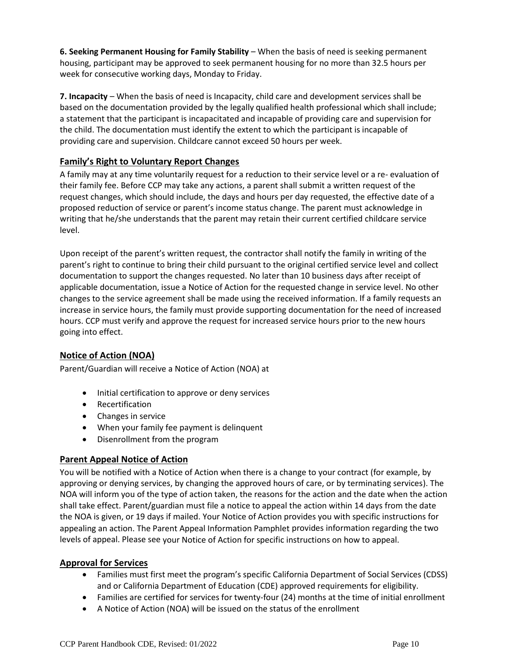**6. Seeking Permanent Housing for Family Stability** – When the basis of need is seeking permanent housing, participant may be approved to seek permanent housing for no more than 32.5 hours per week for consecutive working days, Monday to Friday.

**7. Incapacity** – When the basis of need is Incapacity, child care and development services shall be based on the documentation provided by the legally qualified health professional which shall include; a statement that the participant is incapacitated and incapable of providing care and supervision for the child. The documentation must identify the extent to which the participant is incapable of providing care and supervision. Childcare cannot exceed 50 hours per week.

#### **Family's Right to Voluntary Report Changes**

A family may at any time voluntarily request for a reduction to their service level or a re- evaluation of their family fee. Before CCP may take any actions, a parent shall submit a written request of the request changes, which should include, the days and hours per day requested, the effective date of a proposed reduction of service or parent's income status change. The parent must acknowledge in writing that he/she understands that the parent may retain their current certified childcare service level.

Upon receipt of the parent's written request, the contractor shall notify the family in writing of the parent's right to continue to bring their child pursuant to the original certified service level and collect documentation to support the changes requested. No later than 10 business days after receipt of applicable documentation, issue a Notice of Action for the requested change in service level. No other changes to the service agreement shall be made using the received information. If a family requests an increase in service hours, the family must provide supporting documentation for the need of increased hours. CCP must verify and approve the request for increased service hours prior to the new hours going into effect.

#### **Notice of Action (NOA)**

Parent/Guardian will receive a Notice of Action (NOA) at

- Initial certification to approve or deny services
- Recertification
- Changes in service
- When your family fee payment is delinquent
- Disenrollment from the program

#### **Parent Appeal Notice of Action**

You will be notified with a Notice of Action when there is a change to your contract (for example, by approving or denying services, by changing the approved hours of care, or by terminating services). The NOA will inform you of the type of action taken, the reasons for the action and the date when the action shall take effect. Parent/guardian must file a notice to appeal the action within 14 days from the date the NOA is given, or 19 days if mailed. Your Notice of Action provides you with specific instructions for appealing an action. The Parent Appeal Information Pamphlet provides information regarding the two levels of appeal. Please see your Notice of Action for specific instructions on how to appeal.

#### **Approval for Services**

- Families must first meet the program's specific California Department of Social Services (CDSS) and or California Department of Education (CDE) approved requirements for eligibility.
- Families are certified for services for twenty-four (24) months at the time of initial enrollment
- A Notice of Action (NOA) will be issued on the status of the enrollment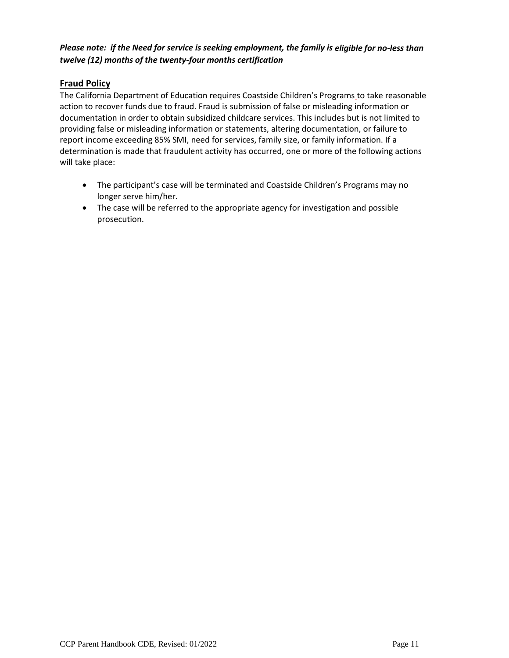#### *Please note: if the Need for service is seeking employment, the family is eligible for no-less than twelve (12) months of the twenty-four months certification*

## **Fraud Policy**

The California Department of Education requires Coastside Children's Programs to take reasonable action to recover funds due to fraud. Fraud is submission of false or misleading information or documentation in order to obtain subsidized childcare services. This includes but is not limited to providing false or misleading information or statements, altering documentation, or failure to report income exceeding 85% SMI, need for services, family size, or family information. If a determination is made that fraudulent activity has occurred, one or more of the following actions will take place:

- The participant's case will be terminated and Coastside Children's Programs may no longer serve him/her.
- The case will be referred to the appropriate agency for investigation and possible prosecution.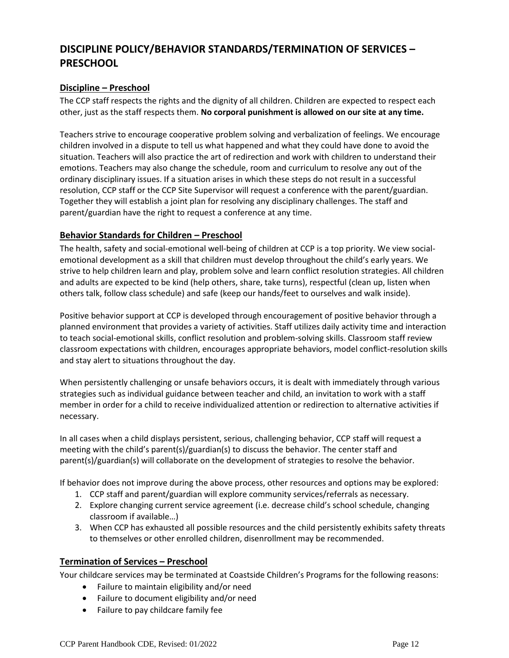# **DISCIPLINE POLICY/BEHAVIOR STANDARDS/TERMINATION OF SERVICES – PRESCHOOL**

#### **Discipline – Preschool**

The CCP staff respects the rights and the dignity of all children. Children are expected to respect each other, just as the staff respects them. **No corporal punishment is allowed on our site at any time.**

Teachers strive to encourage cooperative problem solving and verbalization of feelings. We encourage children involved in a dispute to tell us what happened and what they could have done to avoid the situation. Teachers will also practice the art of redirection and work with children to understand their emotions. Teachers may also change the schedule, room and curriculum to resolve any out of the ordinary disciplinary issues. If a situation arises in which these steps do not result in a successful resolution, CCP staff or the CCP Site Supervisor will request a conference with the parent/guardian. Together they will establish a joint plan for resolving any disciplinary challenges. The staff and parent/guardian have the right to request a conference at any time.

#### **Behavior Standards for Children – Preschool**

The health, safety and social-emotional well-being of children at CCP is a top priority. We view socialemotional development as a skill that children must develop throughout the child's early years. We strive to help children learn and play, problem solve and learn conflict resolution strategies. All children and adults are expected to be kind (help others, share, take turns), respectful (clean up, listen when others talk, follow class schedule) and safe (keep our hands/feet to ourselves and walk inside).

Positive behavior support at CCP is developed through encouragement of positive behavior through a planned environment that provides a variety of activities. Staff utilizes daily activity time and interaction to teach social-emotional skills, conflict resolution and problem-solving skills. Classroom staff review classroom expectations with children, encourages appropriate behaviors, model conflict-resolution skills and stay alert to situations throughout the day.

When persistently challenging or unsafe behaviors occurs, it is dealt with immediately through various strategies such as individual guidance between teacher and child, an invitation to work with a staff member in order for a child to receive individualized attention or redirection to alternative activities if necessary.

In all cases when a child displays persistent, serious, challenging behavior, CCP staff will request a meeting with the child's parent(s)/guardian(s) to discuss the behavior. The center staff and parent(s)/guardian(s) will collaborate on the development of strategies to resolve the behavior.

If behavior does not improve during the above process, other resources and options may be explored:

- 1. CCP staff and parent/guardian will explore community services/referrals as necessary.
- 2. Explore changing current service agreement (i.e. decrease child's school schedule, changing classroom if available…)
- 3. When CCP has exhausted all possible resources and the child persistently exhibits safety threats to themselves or other enrolled children, disenrollment may be recommended.

#### **Termination of Services – Preschool**

Your childcare services may be terminated at Coastside Children's Programs for the following reasons:

- Failure to maintain eligibility and/or need
- Failure to document eligibility and/or need
- Failure to pay childcare family fee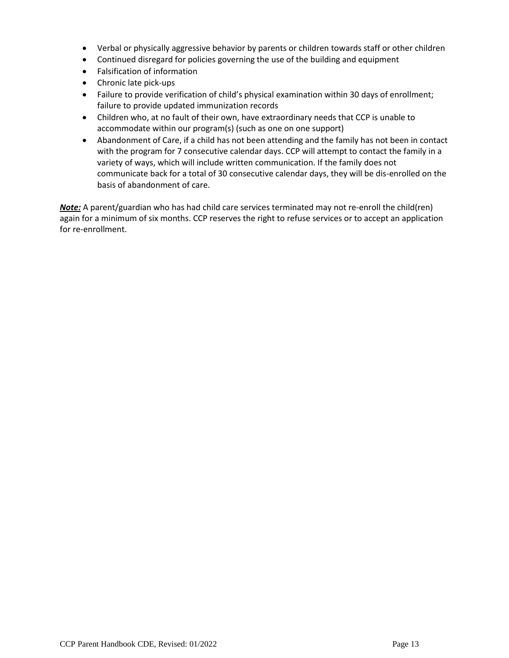- Verbal or physically aggressive behavior by parents or children towards staff or other children
- Continued disregard for policies governing the use of the building and equipment
- Falsification of information
- Chronic late pick-ups
- Failure to provide verification of child's physical examination within 30 days of enrollment; failure to provide updated immunization records
- Children who, at no fault of their own, have extraordinary needs that CCP is unable to accommodate within our program(s) (such as one on one support)
- Abandonment of Care, if a child has not been attending and the family has not been in contact with the program for 7 consecutive calendar days. CCP will attempt to contact the family in a variety of ways, which will include written communication. If the family does not communicate back for a total of 30 consecutive calendar days, they will be dis-enrolled on the basis of abandonment of care.

*Note:* A parent/guardian who has had child care services terminated may not re-enroll the child(ren) again for a minimum of six months. CCP reserves the right to refuse services or to accept an application for re-enrollment.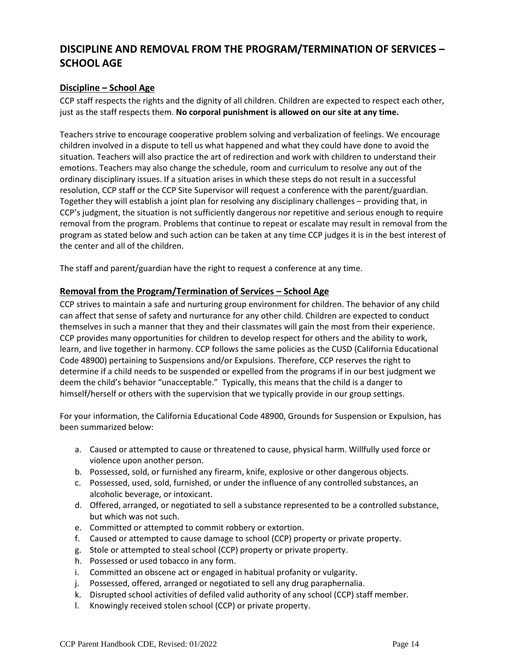# **DISCIPLINE AND REMOVAL FROM THE PROGRAM/TERMINATION OF SERVICES – SCHOOL AGE**

#### **Discipline – School Age**

CCP staff respects the rights and the dignity of all children. Children are expected to respect each other, just as the staff respects them. **No corporal punishment is allowed on our site at any time.**

Teachers strive to encourage cooperative problem solving and verbalization of feelings. We encourage children involved in a dispute to tell us what happened and what they could have done to avoid the situation. Teachers will also practice the art of redirection and work with children to understand their emotions. Teachers may also change the schedule, room and curriculum to resolve any out of the ordinary disciplinary issues. If a situation arises in which these steps do not result in a successful resolution, CCP staff or the CCP Site Supervisor will request a conference with the parent/guardian. Together they will establish a joint plan for resolving any disciplinary challenges – providing that, in CCP's judgment, the situation is not sufficiently dangerous nor repetitive and serious enough to require removal from the program. Problems that continue to repeat or escalate may result in removal from the program as stated below and such action can be taken at any time CCP judges it is in the best interest of the center and all of the children.

The staff and parent/guardian have the right to request a conference at any time.

#### **Removal from the Program/Termination of Services – School Age**

CCP strives to maintain a safe and nurturing group environment for children. The behavior of any child can affect that sense of safety and nurturance for any other child. Children are expected to conduct themselves in such a manner that they and their classmates will gain the most from their experience. CCP provides many opportunities for children to develop respect for others and the ability to work, learn, and live together in harmony. CCP follows the same policies as the CUSD (California Educational Code 48900) pertaining to Suspensions and/or Expulsions. Therefore, CCP reserves the right to determine if a child needs to be suspended or expelled from the programs if in our best judgment we deem the child's behavior "unacceptable." Typically, this means that the child is a danger to himself/herself or others with the supervision that we typically provide in our group settings.

For your information, the California Educational Code 48900, Grounds for Suspension or Expulsion, has been summarized below:

- a. Caused or attempted to cause or threatened to cause, physical harm. Willfully used force or violence upon another person.
- b. Possessed, sold, or furnished any firearm, knife, explosive or other dangerous objects.
- c. Possessed, used, sold, furnished, or under the influence of any controlled substances, an alcoholic beverage, or intoxicant.
- d. Offered, arranged, or negotiated to sell a substance represented to be a controlled substance, but which was not such.
- e. Committed or attempted to commit robbery or extortion.
- f. Caused or attempted to cause damage to school (CCP) property or private property.
- g. Stole or attempted to steal school (CCP) property or private property.
- h. Possessed or used tobacco in any form.
- i. Committed an obscene act or engaged in habitual profanity or vulgarity.
- j. Possessed, offered, arranged or negotiated to sell any drug paraphernalia.
- k. Disrupted school activities of defiled valid authority of any school (CCP) staff member.
- l. Knowingly received stolen school (CCP) or private property.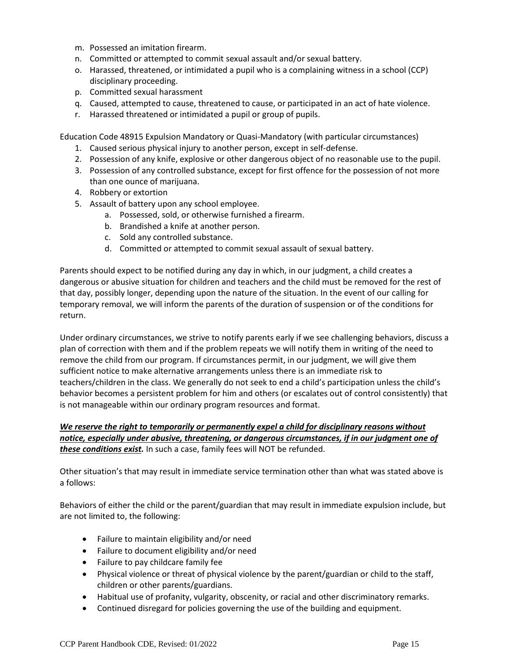- m. Possessed an imitation firearm.
- n. Committed or attempted to commit sexual assault and/or sexual battery.
- o. Harassed, threatened, or intimidated a pupil who is a complaining witness in a school (CCP) disciplinary proceeding.
- p. Committed sexual harassment
- q. Caused, attempted to cause, threatened to cause, or participated in an act of hate violence.
- r. Harassed threatened or intimidated a pupil or group of pupils.

Education Code 48915 Expulsion Mandatory or Quasi-Mandatory (with particular circumstances)

- 1. Caused serious physical injury to another person, except in self-defense.
- 2. Possession of any knife, explosive or other dangerous object of no reasonable use to the pupil.
- 3. Possession of any controlled substance, except for first offence for the possession of not more than one ounce of marijuana.
- 4. Robbery or extortion
- 5. Assault of battery upon any school employee.
	- a. Possessed, sold, or otherwise furnished a firearm.
	- b. Brandished a knife at another person.
	- c. Sold any controlled substance.
	- d. Committed or attempted to commit sexual assault of sexual battery.

Parents should expect to be notified during any day in which, in our judgment, a child creates a dangerous or abusive situation for children and teachers and the child must be removed for the rest of that day, possibly longer, depending upon the nature of the situation. In the event of our calling for temporary removal, we will inform the parents of the duration of suspension or of the conditions for return.

Under ordinary circumstances, we strive to notify parents early if we see challenging behaviors, discuss a plan of correction with them and if the problem repeats we will notify them in writing of the need to remove the child from our program. If circumstances permit, in our judgment, we will give them sufficient notice to make alternative arrangements unless there is an immediate risk to teachers/children in the class. We generally do not seek to end a child's participation unless the child's behavior becomes a persistent problem for him and others (or escalates out of control consistently) that is not manageable within our ordinary program resources and format.

#### *We reserve the right to temporarily or permanently expel a child for disciplinary reasons without notice, especially under abusive, threatening, or dangerous circumstances, if in our judgment one of these conditions exist.* In such a case, family fees will NOT be refunded.

Other situation's that may result in immediate service termination other than what was stated above is a follows:

Behaviors of either the child or the parent/guardian that may result in immediate expulsion include, but are not limited to, the following:

- Failure to maintain eligibility and/or need
- Failure to document eligibility and/or need
- Failure to pay childcare family fee
- Physical violence or threat of physical violence by the parent/guardian or child to the staff, children or other parents/guardians.
- Habitual use of profanity, vulgarity, obscenity, or racial and other discriminatory remarks.
- Continued disregard for policies governing the use of the building and equipment.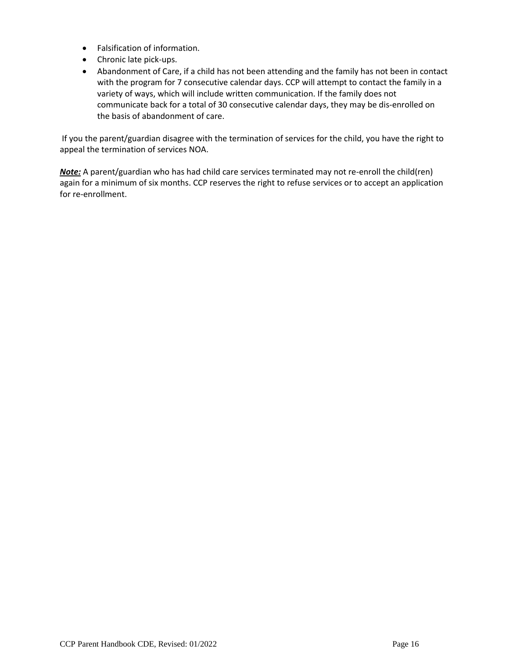- Falsification of information.
- Chronic late pick-ups.
- Abandonment of Care, if a child has not been attending and the family has not been in contact with the program for 7 consecutive calendar days. CCP will attempt to contact the family in a variety of ways, which will include written communication. If the family does not communicate back for a total of 30 consecutive calendar days, they may be dis-enrolled on the basis of abandonment of care.

If you the parent/guardian disagree with the termination of services for the child, you have the right to appeal the termination of services NOA.

*Note:* A parent/guardian who has had child care services terminated may not re-enroll the child(ren) again for a minimum of six months. CCP reserves the right to refuse services or to accept an application for re-enrollment.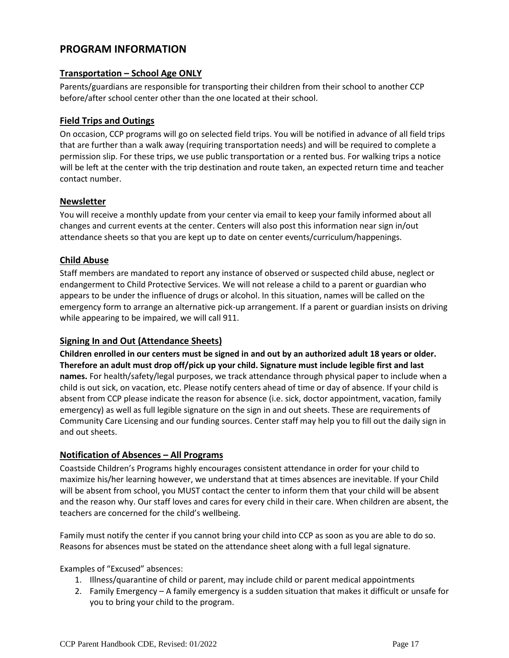## **PROGRAM INFORMATION**

#### **Transportation – School Age ONLY**

Parents/guardians are responsible for transporting their children from their school to another CCP before/after school center other than the one located at their school.

#### **Field Trips and Outings**

On occasion, CCP programs will go on selected field trips. You will be notified in advance of all field trips that are further than a walk away (requiring transportation needs) and will be required to complete a permission slip. For these trips, we use public transportation or a rented bus. For walking trips a notice will be left at the center with the trip destination and route taken, an expected return time and teacher contact number.

#### **Newsletter**

You will receive a monthly update from your center via email to keep your family informed about all changes and current events at the center. Centers will also post this information near sign in/out attendance sheets so that you are kept up to date on center events/curriculum/happenings.

#### **Child Abuse**

Staff members are mandated to report any instance of observed or suspected child abuse, neglect or endangerment to Child Protective Services. We will not release a child to a parent or guardian who appears to be under the influence of drugs or alcohol. In this situation, names will be called on the emergency form to arrange an alternative pick-up arrangement. If a parent or guardian insists on driving while appearing to be impaired, we will call 911.

#### **Signing In and Out (Attendance Sheets)**

**Children enrolled in our centers must be signed in and out by an authorized adult 18 years or older. Therefore an adult must drop off/pick up your child. Signature must include legible first and last names.** For health/safety/legal purposes, we track attendance through physical paper to include when a child is out sick, on vacation, etc. Please notify centers ahead of time or day of absence. If your child is absent from CCP please indicate the reason for absence (i.e. sick, doctor appointment, vacation, family emergency) as well as full legible signature on the sign in and out sheets. These are requirements of Community Care Licensing and our funding sources. Center staff may help you to fill out the daily sign in and out sheets.

#### **Notification of Absences – All Programs**

Coastside Children's Programs highly encourages consistent attendance in order for your child to maximize his/her learning however, we understand that at times absences are inevitable. If your Child will be absent from school, you MUST contact the center to inform them that your child will be absent and the reason why. Our staff loves and cares for every child in their care. When children are absent, the teachers are concerned for the child's wellbeing.

Family must notify the center if you cannot bring your child into CCP as soon as you are able to do so. Reasons for absences must be stated on the attendance sheet along with a full legal signature.

Examples of "Excused" absences:

- 1. Illness/quarantine of child or parent, may include child or parent medical appointments
- 2. Family Emergency A family emergency is a sudden situation that makes it difficult or unsafe for you to bring your child to the program.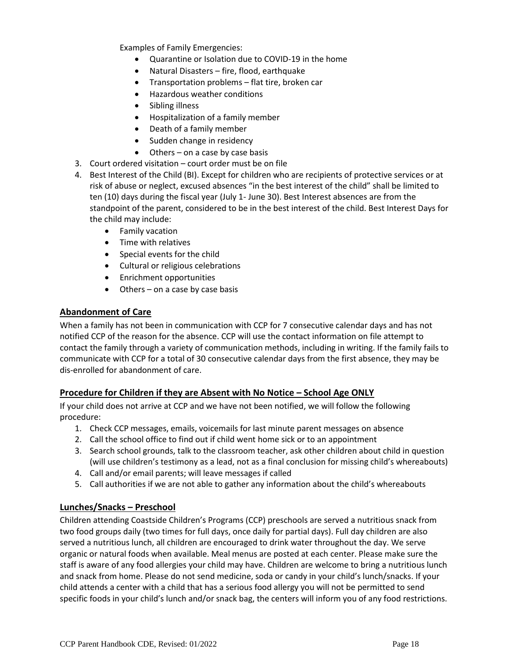Examples of Family Emergencies:

- Quarantine or Isolation due to COVID-19 in the home
- Natural Disasters fire, flood, earthquake
- Transportation problems flat tire, broken car
- Hazardous weather conditions
- Sibling illness
- Hospitalization of a family member
- Death of a family member
- Sudden change in residency
- Others on a case by case basis
- 3. Court ordered visitation court order must be on file
- 4. Best Interest of the Child (BI). Except for children who are recipients of protective services or at risk of abuse or neglect, excused absences "in the best interest of the child" shall be limited to ten (10) days during the fiscal year (July 1- June 30). Best Interest absences are from the standpoint of the parent, considered to be in the best interest of the child. Best Interest Days for the child may include:
	- Family vacation
	- Time with relatives
	- Special events for the child
	- Cultural or religious celebrations
	- Enrichment opportunities
	- Others on a case by case basis

#### **Abandonment of Care**

When a family has not been in communication with CCP for 7 consecutive calendar days and has not notified CCP of the reason for the absence. CCP will use the contact information on file attempt to contact the family through a variety of communication methods, including in writing. If the family fails to communicate with CCP for a total of 30 consecutive calendar days from the first absence, they may be dis-enrolled for abandonment of care.

#### **Procedure for Children if they are Absent with No Notice - School Age ONLY**

If your child does not arrive at CCP and we have not been notified, we will follow the following procedure:

- 1. Check CCP messages, emails, voicemails for last minute parent messages on absence
- 2. Call the school office to find out if child went home sick or to an appointment
- 3. Search school grounds, talk to the classroom teacher, ask other children about child in question (will use children's testimony as a lead, not as a final conclusion for missing child's whereabouts)
- 4. Call and/or email parents; will leave messages if called
- 5. Call authorities if we are not able to gather any information about the child's whereabouts

#### **Lunches/Snacks – Preschool**

Children attending Coastside Children's Programs (CCP) preschools are served a nutritious snack from two food groups daily (two times for full days, once daily for partial days). Full day children are also served a nutritious lunch, all children are encouraged to drink water throughout the day. We serve organic or natural foods when available. Meal menus are posted at each center. Please make sure the staff is aware of any food allergies your child may have. Children are welcome to bring a nutritious lunch and snack from home. Please do not send medicine, soda or candy in your child's lunch/snacks. If your child attends a center with a child that has a serious food allergy you will not be permitted to send specific foods in your child's lunch and/or snack bag, the centers will inform you of any food restrictions.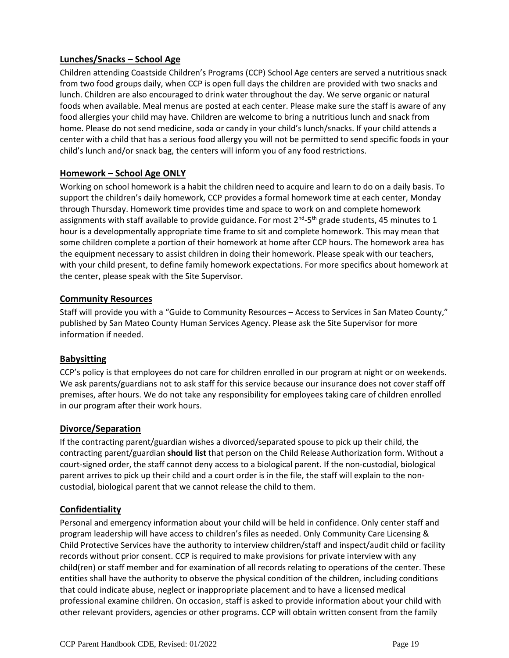## **Lunches/Snacks – School Age**

Children attending Coastside Children's Programs (CCP) School Age centers are served a nutritious snack from two food groups daily, when CCP is open full days the children are provided with two snacks and lunch. Children are also encouraged to drink water throughout the day. We serve organic or natural foods when available. Meal menus are posted at each center. Please make sure the staff is aware of any food allergies your child may have. Children are welcome to bring a nutritious lunch and snack from home. Please do not send medicine, soda or candy in your child's lunch/snacks. If your child attends a center with a child that has a serious food allergy you will not be permitted to send specific foods in your child's lunch and/or snack bag, the centers will inform you of any food restrictions.

#### **Homework – School Age ONLY**

Working on school homework is a habit the children need to acquire and learn to do on a daily basis. To support the children's daily homework, CCP provides a formal homework time at each center, Monday through Thursday. Homework time provides time and space to work on and complete homework assignments with staff available to provide guidance. For most 2<sup>nd</sup>-5<sup>th</sup> grade students, 45 minutes to 1 hour is a developmentally appropriate time frame to sit and complete homework. This may mean that some children complete a portion of their homework at home after CCP hours. The homework area has the equipment necessary to assist children in doing their homework. Please speak with our teachers, with your child present, to define family homework expectations. For more specifics about homework at the center, please speak with the Site Supervisor.

#### **Community Resources**

Staff will provide you with a "Guide to Community Resources – Access to Services in San Mateo County," published by San Mateo County Human Services Agency. Please ask the Site Supervisor for more information if needed.

#### **Babysitting**

CCP's policy is that employees do not care for children enrolled in our program at night or on weekends. We ask parents/guardians not to ask staff for this service because our insurance does not cover staff off premises, after hours. We do not take any responsibility for employees taking care of children enrolled in our program after their work hours.

#### **Divorce/Separation**

If the contracting parent/guardian wishes a divorced/separated spouse to pick up their child, the contracting parent/guardian **should list** that person on the Child Release Authorization form. Without a court-signed order, the staff cannot deny access to a biological parent. If the non-custodial, biological parent arrives to pick up their child and a court order is in the file, the staff will explain to the noncustodial, biological parent that we cannot release the child to them.

#### **Confidentiality**

Personal and emergency information about your child will be held in confidence. Only center staff and program leadership will have access to children's files as needed. Only Community Care Licensing & Child Protective Services have the authority to interview children/staff and inspect/audit child or facility records without prior consent. CCP is required to make provisions for private interview with any child(ren) or staff member and for examination of all records relating to operations of the center. These entities shall have the authority to observe the physical condition of the children, including conditions that could indicate abuse, neglect or inappropriate placement and to have a licensed medical professional examine children. On occasion, staff is asked to provide information about your child with other relevant providers, agencies or other programs. CCP will obtain written consent from the family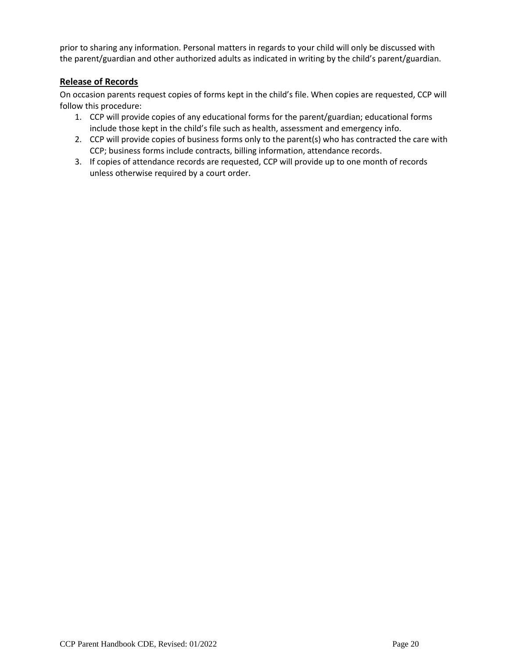prior to sharing any information. Personal matters in regards to your child will only be discussed with the parent/guardian and other authorized adults as indicated in writing by the child's parent/guardian.

#### **Release of Records**

On occasion parents request copies of forms kept in the child's file. When copies are requested, CCP will follow this procedure:

- 1. CCP will provide copies of any educational forms for the parent/guardian; educational forms include those kept in the child's file such as health, assessment and emergency info.
- 2. CCP will provide copies of business forms only to the parent(s) who has contracted the care with CCP; business forms include contracts, billing information, attendance records.
- 3. If copies of attendance records are requested, CCP will provide up to one month of records unless otherwise required by a court order.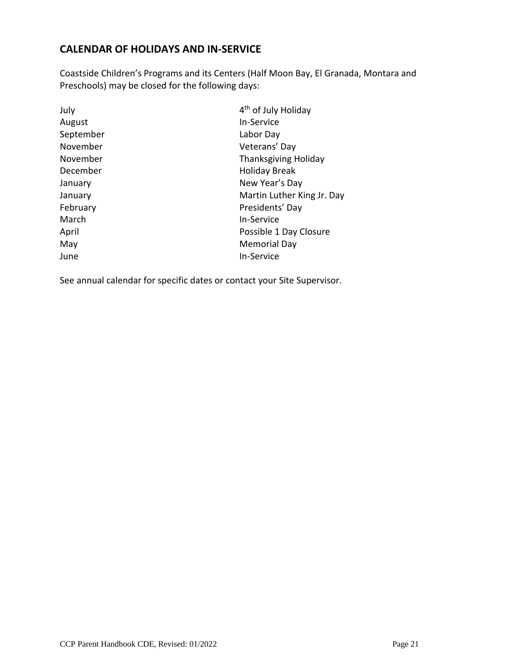## **CALENDAR OF HOLIDAYS AND IN-SERVICE**

Coastside Children's Programs and its Centers (Half Moon Bay, El Granada, Montara and Preschools) may be closed for the following days:

| July      | 4 <sup>th</sup> of July Holiday |
|-----------|---------------------------------|
| August    | <b>In-Service</b>               |
| September | Labor Day                       |
| November  | Veterans' Day                   |
| November  | <b>Thanksgiving Holiday</b>     |
| December  | <b>Holiday Break</b>            |
| January   | New Year's Day                  |
| January   | Martin Luther King Jr. Day      |
| February  | Presidents' Day                 |
| March     | <b>In-Service</b>               |
| April     | Possible 1 Day Closure          |
| May       | <b>Memorial Day</b>             |
| June      | In-Service                      |
|           |                                 |

See annual calendar for specific dates or contact your Site Supervisor.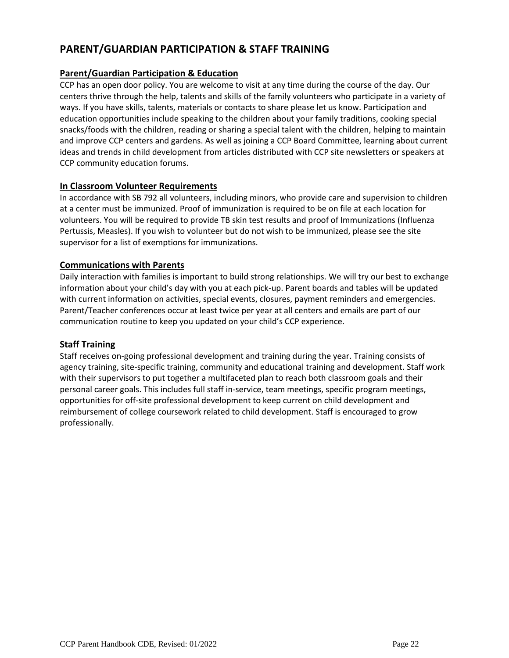# **PARENT/GUARDIAN PARTICIPATION & STAFF TRAINING**

## **Parent/Guardian Participation & Education**

CCP has an open door policy. You are welcome to visit at any time during the course of the day. Our centers thrive through the help, talents and skills of the family volunteers who participate in a variety of ways. If you have skills, talents, materials or contacts to share please let us know. Participation and education opportunities include speaking to the children about your family traditions, cooking special snacks/foods with the children, reading or sharing a special talent with the children, helping to maintain and improve CCP centers and gardens. As well as joining a CCP Board Committee, learning about current ideas and trends in child development from articles distributed with CCP site newsletters or speakers at CCP community education forums.

#### **In Classroom Volunteer Requirements**

In accordance with SB 792 all volunteers, including minors, who provide care and supervision to children at a center must be immunized. Proof of immunization is required to be on file at each location for volunteers. You will be required to provide TB skin test results and proof of Immunizations (Influenza Pertussis, Measles). If you wish to volunteer but do not wish to be immunized, please see the site supervisor for a list of exemptions for immunizations.

#### **Communications with Parents**

Daily interaction with families is important to build strong relationships. We will try our best to exchange information about your child's day with you at each pick-up. Parent boards and tables will be updated with current information on activities, special events, closures, payment reminders and emergencies. Parent/Teacher conferences occur at least twice per year at all centers and emails are part of our communication routine to keep you updated on your child's CCP experience.

#### **Staff Training**

Staff receives on-going professional development and training during the year. Training consists of agency training, site-specific training, community and educational training and development. Staff work with their supervisors to put together a multifaceted plan to reach both classroom goals and their personal career goals. This includes full staff in-service, team meetings, specific program meetings, opportunities for off-site professional development to keep current on child development and reimbursement of college coursework related to child development. Staff is encouraged to grow professionally.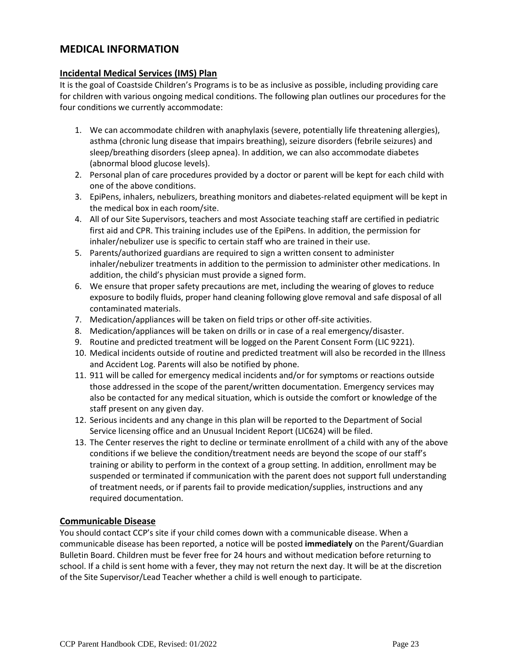## **MEDICAL INFORMATION**

#### **Incidental Medical Services (IMS) Plan**

It is the goal of Coastside Children's Programs is to be as inclusive as possible, including providing care for children with various ongoing medical conditions. The following plan outlines our procedures for the four conditions we currently accommodate:

- 1. We can accommodate children with anaphylaxis (severe, potentially life threatening allergies), asthma (chronic lung disease that impairs breathing), seizure disorders (febrile seizures) and sleep/breathing disorders (sleep apnea). In addition, we can also accommodate diabetes (abnormal blood glucose levels).
- 2. Personal plan of care procedures provided by a doctor or parent will be kept for each child with one of the above conditions.
- 3. EpiPens, inhalers, nebulizers, breathing monitors and diabetes-related equipment will be kept in the medical box in each room/site.
- 4. All of our Site Supervisors, teachers and most Associate teaching staff are certified in pediatric first aid and CPR. This training includes use of the EpiPens. In addition, the permission for inhaler/nebulizer use is specific to certain staff who are trained in their use.
- 5. Parents/authorized guardians are required to sign a written consent to administer inhaler/nebulizer treatments in addition to the permission to administer other medications. In addition, the child's physician must provide a signed form.
- 6. We ensure that proper safety precautions are met, including the wearing of gloves to reduce exposure to bodily fluids, proper hand cleaning following glove removal and safe disposal of all contaminated materials.
- 7. Medication/appliances will be taken on field trips or other off-site activities.
- 8. Medication/appliances will be taken on drills or in case of a real emergency/disaster.
- 9. Routine and predicted treatment will be logged on the Parent Consent Form (LIC 9221).
- 10. Medical incidents outside of routine and predicted treatment will also be recorded in the Illness and Accident Log. Parents will also be notified by phone.
- 11. 911 will be called for emergency medical incidents and/or for symptoms or reactions outside those addressed in the scope of the parent/written documentation. Emergency services may also be contacted for any medical situation, which is outside the comfort or knowledge of the staff present on any given day.
- 12. Serious incidents and any change in this plan will be reported to the Department of Social Service licensing office and an Unusual Incident Report (LIC624) will be filed.
- 13. The Center reserves the right to decline or terminate enrollment of a child with any of the above conditions if we believe the condition/treatment needs are beyond the scope of our staff's training or ability to perform in the context of a group setting. In addition, enrollment may be suspended or terminated if communication with the parent does not support full understanding of treatment needs, or if parents fail to provide medication/supplies, instructions and any required documentation.

#### **Communicable Disease**

You should contact CCP's site if your child comes down with a communicable disease. When a communicable disease has been reported, a notice will be posted **immediately** on the Parent/Guardian Bulletin Board. Children must be fever free for 24 hours and without medication before returning to school. If a child is sent home with a fever, they may not return the next day. It will be at the discretion of the Site Supervisor/Lead Teacher whether a child is well enough to participate.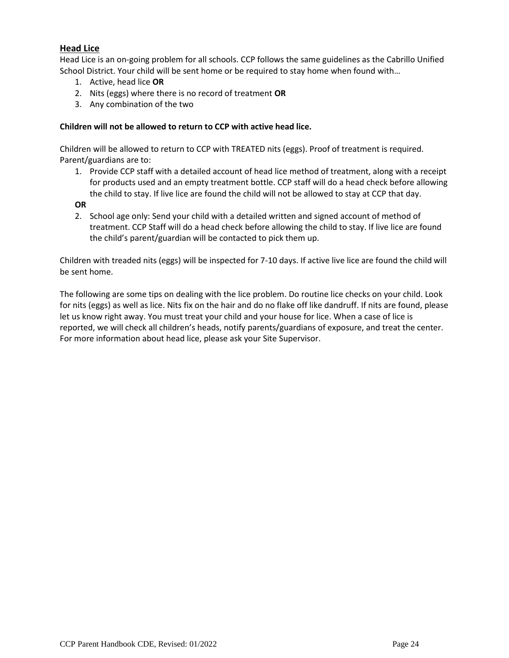#### **Head Lice**

Head Lice is an on-going problem for all schools. CCP follows the same guidelines as the Cabrillo Unified School District. Your child will be sent home or be required to stay home when found with…

- 1. Active, head lice **OR**
- 2. Nits (eggs) where there is no record of treatment **OR**
- 3. Any combination of the two

#### **Children will not be allowed to return to CCP with active head lice.**

Children will be allowed to return to CCP with TREATED nits (eggs). Proof of treatment is required. Parent/guardians are to:

- 1. Provide CCP staff with a detailed account of head lice method of treatment, along with a receipt for products used and an empty treatment bottle. CCP staff will do a head check before allowing the child to stay. If live lice are found the child will not be allowed to stay at CCP that day.
- **OR**
- 2. School age only: Send your child with a detailed written and signed account of method of treatment. CCP Staff will do a head check before allowing the child to stay. If live lice are found the child's parent/guardian will be contacted to pick them up.

Children with treaded nits (eggs) will be inspected for 7-10 days. If active live lice are found the child will be sent home.

The following are some tips on dealing with the lice problem. Do routine lice checks on your child. Look for nits (eggs) as well as lice. Nits fix on the hair and do no flake off like dandruff. If nits are found, please let us know right away. You must treat your child and your house for lice. When a case of lice is reported, we will check all children's heads, notify parents/guardians of exposure, and treat the center. For more information about head lice, please ask your Site Supervisor.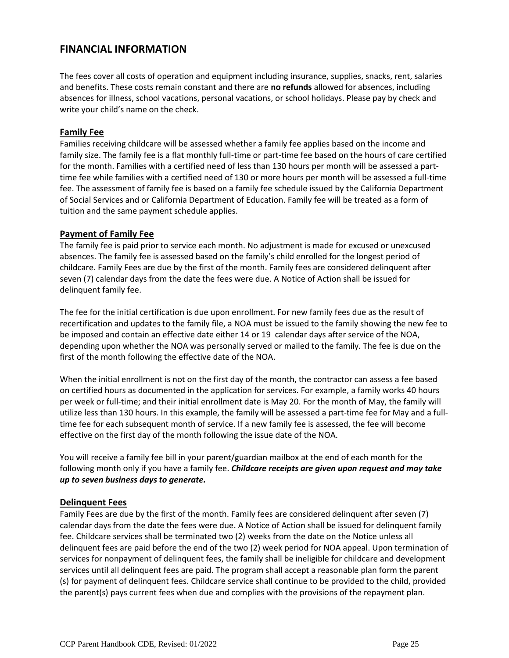## **FINANCIAL INFORMATION**

The fees cover all costs of operation and equipment including insurance, supplies, snacks, rent, salaries and benefits. These costs remain constant and there are **no refunds** allowed for absences, including absences for illness, school vacations, personal vacations, or school holidays. Please pay by check and write your child's name on the check.

#### **Family Fee**

Families receiving childcare will be assessed whether a family fee applies based on the income and family size. The family fee is a flat monthly full-time or part-time fee based on the hours of care certified for the month. Families with a certified need of less than 130 hours per month will be assessed a parttime fee while families with a certified need of 130 or more hours per month will be assessed a full-time fee. The assessment of family fee is based on a family fee schedule issued by the California Department of Social Services and or California Department of Education. Family fee will be treated as a form of tuition and the same payment schedule applies.

#### **Payment of Family Fee**

The family fee is paid prior to service each month. No adjustment is made for excused or unexcused absences. The family fee is assessed based on the family's child enrolled for the longest period of childcare. Family Fees are due by the first of the month. Family fees are considered delinquent after seven (7) calendar days from the date the fees were due. A Notice of Action shall be issued for delinquent family fee.

The fee for the initial certification is due upon enrollment. For new family fees due as the result of recertification and updates to the family file, a NOA must be issued to the family showing the new fee to be imposed and contain an effective date either 14 or 19 calendar days after service of the NOA, depending upon whether the NOA was personally served or mailed to the family. The fee is due on the first of the month following the effective date of the NOA.

When the initial enrollment is not on the first day of the month, the contractor can assess a fee based on certified hours as documented in the application for services. For example, a family works 40 hours per week or full-time; and their initial enrollment date is May 20. For the month of May, the family will utilize less than 130 hours. In this example, the family will be assessed a part-time fee for May and a fulltime fee for each subsequent month of service. If a new family fee is assessed, the fee will become effective on the first day of the month following the issue date of the NOA.

You will receive a family fee bill in your parent/guardian mailbox at the end of each month for the following month only if you have a family fee. *Childcare receipts are given upon request and may take up to seven business days to generate.*

#### **Delinquent Fees**

Family Fees are due by the first of the month. Family fees are considered delinquent after seven (7) calendar days from the date the fees were due. A Notice of Action shall be issued for delinquent family fee. Childcare services shall be terminated two (2) weeks from the date on the Notice unless all delinquent fees are paid before the end of the two (2) week period for NOA appeal. Upon termination of services for nonpayment of delinquent fees, the family shall be ineligible for childcare and development services until all delinquent fees are paid. The program shall accept a reasonable plan form the parent (s) for payment of delinquent fees. Childcare service shall continue to be provided to the child, provided the parent(s) pays current fees when due and complies with the provisions of the repayment plan.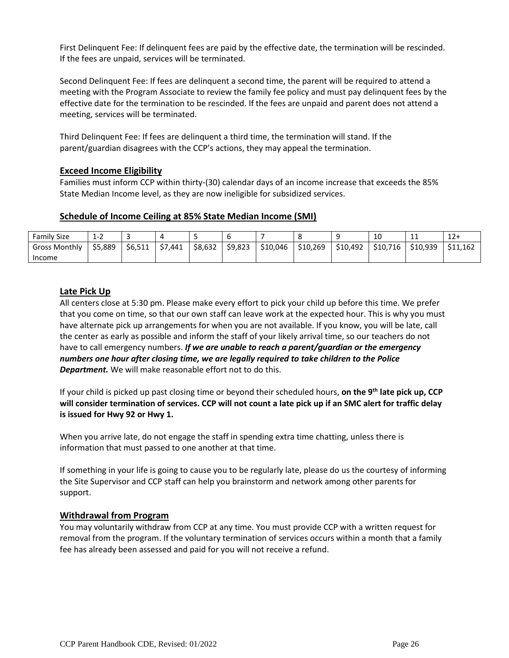First Delinquent Fee: If delinquent fees are paid by the effective date, the termination will be rescinded. If the fees are unpaid, services will be terminated.

Second Delinquent Fee: If fees are delinquent a second time, the parent will be required to attend a meeting with the Program Associate to review the family fee policy and must pay delinquent fees by the effective date for the termination to be rescinded. If the fees are unpaid and parent does not attend a meeting, services will be terminated.

Third Delinquent Fee: If fees are delinquent a third time, the termination will stand. If the parent/guardian disagrees with the CCP's actions, they may appeal the termination.

#### **Exceed Income Eligibility**

Families must inform CCP within thirty-(30) calendar days of an income increase that exceeds the 85% State Median Income level, as they are now ineligible for subsidized services.

#### **Schedule of Income Ceiling at 85% State Median Income (SMI)**

| Family Size          | $\rightarrow$<br>モーム |         |         |         |         |          |          |          | 10       | <b>. .</b> | $12+$    |
|----------------------|----------------------|---------|---------|---------|---------|----------|----------|----------|----------|------------|----------|
| <b>Gross Monthly</b> | \$5.889              | \$6.511 | \$7,441 | \$8,632 | \$9.823 | \$10,046 | \$10,269 | \$10,492 | \$10,716 | \$10,939   | \$11.162 |
| Income               |                      |         |         |         |         |          |          |          |          |            |          |

#### **Late Pick Up**

All centers close at 5:30 pm. Please make every effort to pick your child up before this time. We prefer that you come on time, so that our own staff can leave work at the expected hour. This is why you must have alternate pick up arrangements for when you are not available. If you know, you will be late, call the center as early as possible and inform the staff of your likely arrival time, so our teachers do not have to call emergency numbers. *If we are unable to reach a parent/guardian or the emergency numbers one hour after closing time, we are legally required to take children to the Police Department.* We will make reasonable effort not to do this.

If your child is picked up past closing time or beyond their scheduled hours, **on the 9th late pick up, CCP will consider termination of services. CCP will not count a late pick up if an SMC alert for traffic delay is issued for Hwy 92 or Hwy 1.**

When you arrive late, do not engage the staff in spending extra time chatting, unless there is information that must passed to one another at that time.

If something in your life is going to cause you to be regularly late, please do us the courtesy of informing the Site Supervisor and CCP staff can help you brainstorm and network among other parents for support.

#### **Withdrawal from Program**

You may voluntarily withdraw from CCP at any time. You must provide CCP with a written request for removal from the program. If the voluntary termination of services occurs within a month that a family fee has already been assessed and paid for you will not receive a refund.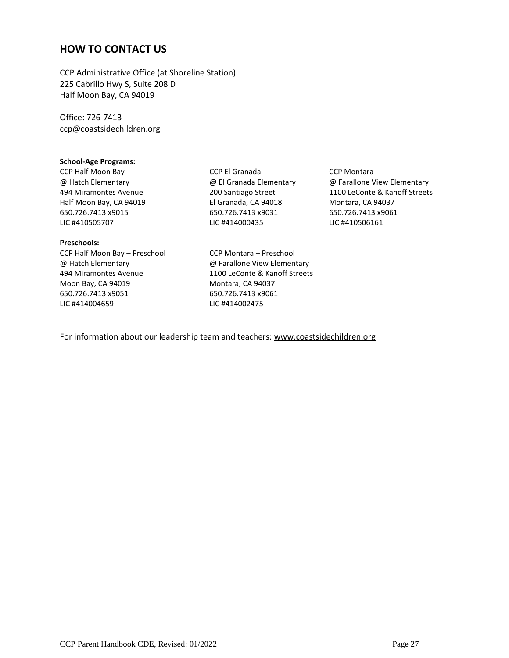## **HOW TO CONTACT US**

CCP Administrative Office (at Shoreline Station) 225 Cabrillo Hwy S, Suite 208 D Half Moon Bay, CA 94019

Office: 726-7413 [ccp@coastsidechildren.org](about:blank)

#### **School-Age Programs:**

LIC #410505707 LIC #414000435 LIC #410506161

#### **Preschools:**

CCP Half Moon Bay – Preschool CCP Montara – Preschool @ Hatch Elementary @ Farallone View Elementary 494 Miramontes Avenue 1100 LeConte & Kanoff Streets Moon Bay, CA 94019 Montara, CA 94037 650.726.7413 x9051 650.726.7413 x9061 LIC #414004659 LIC #414002475

[CCP Half Moon Bay](about:blank) [CCP El Granada](about:blank) CCP Montara Half Moon Bay, CA 94019 El Granada, CA 94018 Montara, CA 94037 650.726.7413 x9015 650.726.7413 x9031 650.726.7413 x9061

@ Hatch Elementary @ El Granada Elementary @ Farallone View Elementary 494 Miramontes Avenue 200 Santiago Street 1100 LeConte & Kanoff Streets

For information about our leadership team and teachers[: www.coastsidechildren.org](about:blank)